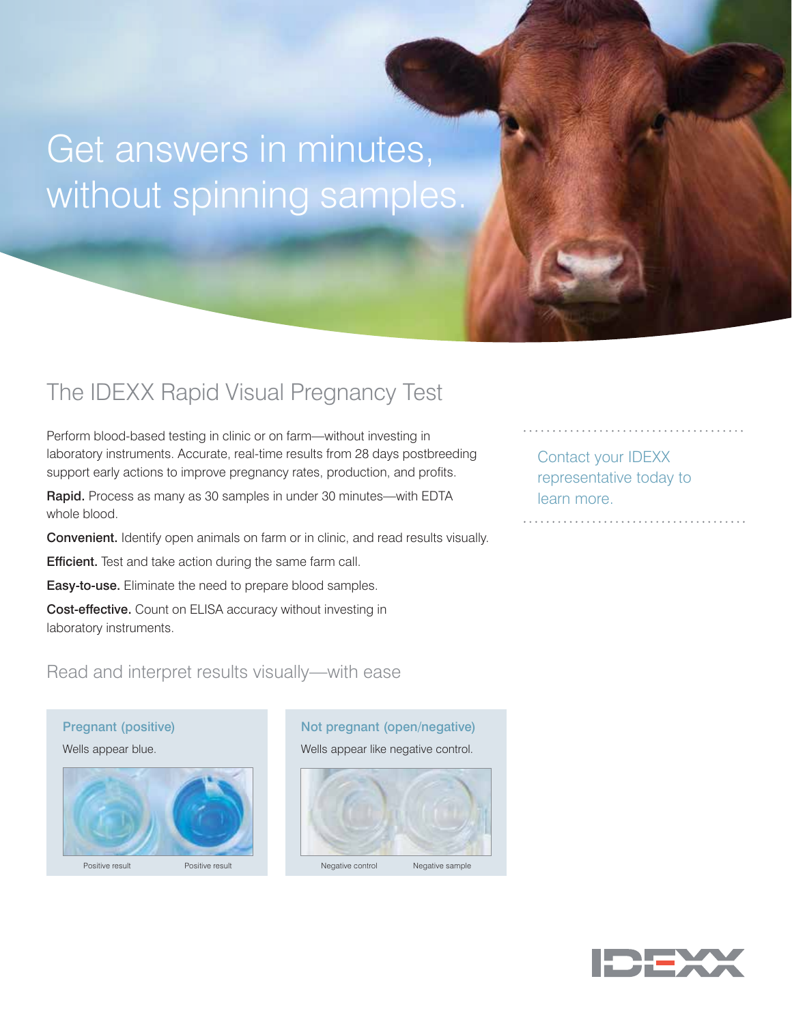# Get answers in minutes, without spinning samples.

### The IDEXX Rapid Visual Pregnancy Test

Perform blood-based testing in clinic or on farm—without investing in laboratory instruments. Accurate, real-time results from 28 days postbreeding support early actions to improve pregnancy rates, production, and profits.

Rapid. Process as many as 30 samples in under 30 minutes—with EDTA whole blood.

Convenient. Identify open animals on farm or in clinic, and read results visually.

**Efficient.** Test and take action during the same farm call.

Easy-to-use. Eliminate the need to prepare blood samples.

Cost-effective. Count on ELISA accuracy without investing in laboratory instruments.

Read and interpret results visually—with ease

#### Pregnant (positive)

Wells appear blue.



#### Not pregnant (open/negative)

Wells appear like negative control.



Contact your IDEXX representative today to learn more.